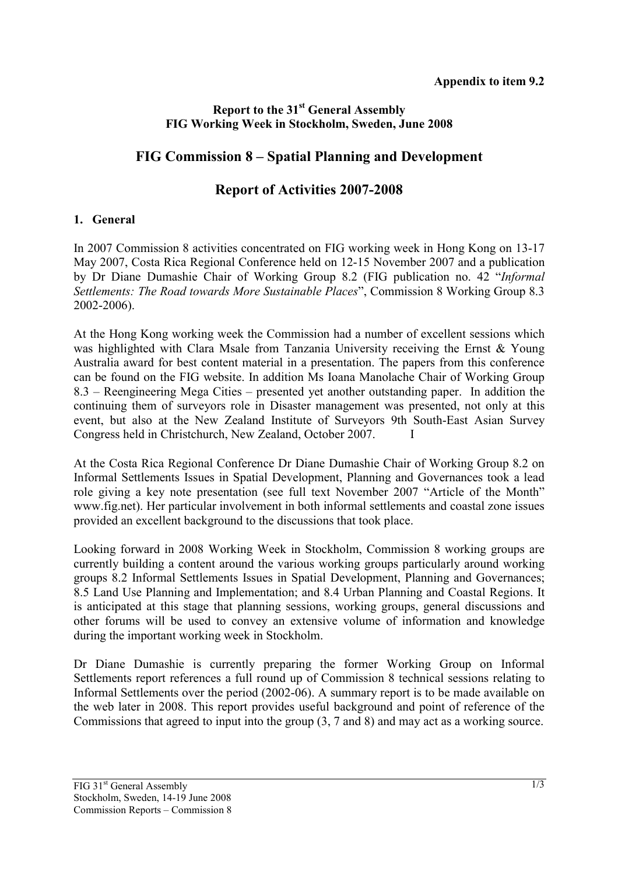### **Report to the 31st General Assembly FIG Working Week in Stockholm, Sweden, June 2008**

# **FIG Commission 8 – Spatial Planning and Development**

## **Report of Activities 2007-2008**

#### **1. General**

In 2007 Commission 8 activities concentrated on FIG working week in Hong Kong on 13-17 May 2007, Costa Rica Regional Conference held on 12-15 November 2007 and a publication by Dr Diane Dumashie Chair of Working Group 8.2 (FIG publication no. 42 "*Informal Settlements: The Road towards More Sustainable Places*", Commission 8 Working Group 8.3 2002-2006).

At the Hong Kong working week the Commission had a number of excellent sessions which was highlighted with Clara Msale from Tanzania University receiving the Ernst & Young Australia award for best content material in a presentation. The papers from this conference can be found on the FIG website. In addition Ms Ioana Manolache Chair of Working Group 8.3 – Reengineering Mega Cities – presented yet another outstanding paper. In addition the continuing them of surveyors role in Disaster management was presented, not only at this event, but also at the New Zealand Institute of Surveyors 9th South-East Asian Survey Congress held in Christchurch, New Zealand, October 2007. I

At the Costa Rica Regional Conference Dr Diane Dumashie Chair of Working Group 8.2 on Informal Settlements Issues in Spatial Development, Planning and Governances took a lead role giving a key note presentation (see full text November 2007 "Article of the Month" www.fig.net). Her particular involvement in both informal settlements and coastal zone issues provided an excellent background to the discussions that took place.

Looking forward in 2008 Working Week in Stockholm, Commission 8 working groups are currently building a content around the various working groups particularly around working groups 8.2 Informal Settlements Issues in Spatial Development, Planning and Governances; 8.5 Land Use Planning and Implementation; and 8.4 Urban Planning and Coastal Regions. It is anticipated at this stage that planning sessions, working groups, general discussions and other forums will be used to convey an extensive volume of information and knowledge during the important working week in Stockholm.

Dr Diane Dumashie is currently preparing the former Working Group on Informal Settlements report references a full round up of Commission 8 technical sessions relating to Informal Settlements over the period (2002-06). A summary report is to be made available on the web later in 2008. This report provides useful background and point of reference of the Commissions that agreed to input into the group (3, 7 and 8) and may act as a working source.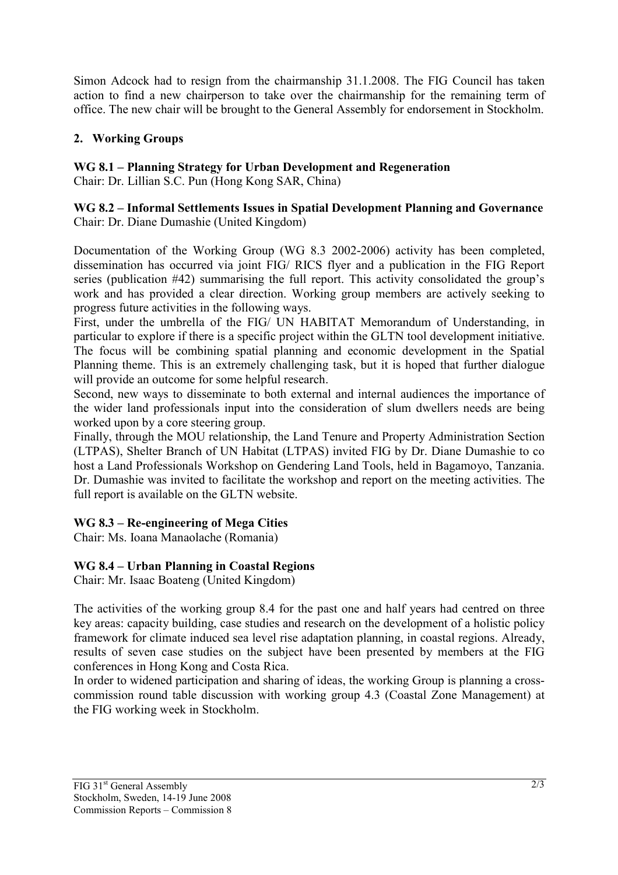Simon Adcock had to resign from the chairmanship 31.1.2008. The FIG Council has taken action to find a new chairperson to take over the chairmanship for the remaining term of office. The new chair will be brought to the General Assembly for endorsement in Stockholm.

### **2. Working Groups**

**WG 8.1 – Planning Strategy for Urban Development and Regeneration**

Chair: Dr. Lillian S.C. Pun (Hong Kong SAR, China)

#### **WG 8.2 – Informal Settlements Issues in Spatial Development Planning and Governance** Chair: Dr. Diane Dumashie (United Kingdom)

Documentation of the Working Group (WG 8.3 2002-2006) activity has been completed, dissemination has occurred via joint FIG/ RICS flyer and a publication in the FIG Report series (publication #42) summarising the full report. This activity consolidated the group's work and has provided a clear direction. Working group members are actively seeking to progress future activities in the following ways.

First, under the umbrella of the FIG/ UN HABITAT Memorandum of Understanding, in particular to explore if there is a specific project within the GLTN tool development initiative. The focus will be combining spatial planning and economic development in the Spatial Planning theme. This is an extremely challenging task, but it is hoped that further dialogue will provide an outcome for some helpful research.

Second, new ways to disseminate to both external and internal audiences the importance of the wider land professionals input into the consideration of slum dwellers needs are being worked upon by a core steering group.

Finally, through the MOU relationship, the Land Tenure and Property Administration Section (LTPAS), Shelter Branch of UN Habitat (LTPAS) invited FIG by Dr. Diane Dumashie to co host a Land Professionals Workshop on Gendering Land Tools, held in Bagamoyo, Tanzania. Dr. Dumashie was invited to facilitate the workshop and report on the meeting activities. The full report is available on the GLTN website.

## **WG 8.3 – Re-engineering of Mega Cities**

Chair: Ms. Ioana Manaolache (Romania)

## **WG 8.4 – Urban Planning in Coastal Regions**

Chair: Mr. Isaac Boateng (United Kingdom)

The activities of the working group 8.4 for the past one and half years had centred on three key areas: capacity building, case studies and research on the development of a holistic policy framework for climate induced sea level rise adaptation planning, in coastal regions. Already, results of seven case studies on the subject have been presented by members at the FIG conferences in Hong Kong and Costa Rica.

In order to widened participation and sharing of ideas, the working Group is planning a crosscommission round table discussion with working group 4.3 (Coastal Zone Management) at the FIG working week in Stockholm.